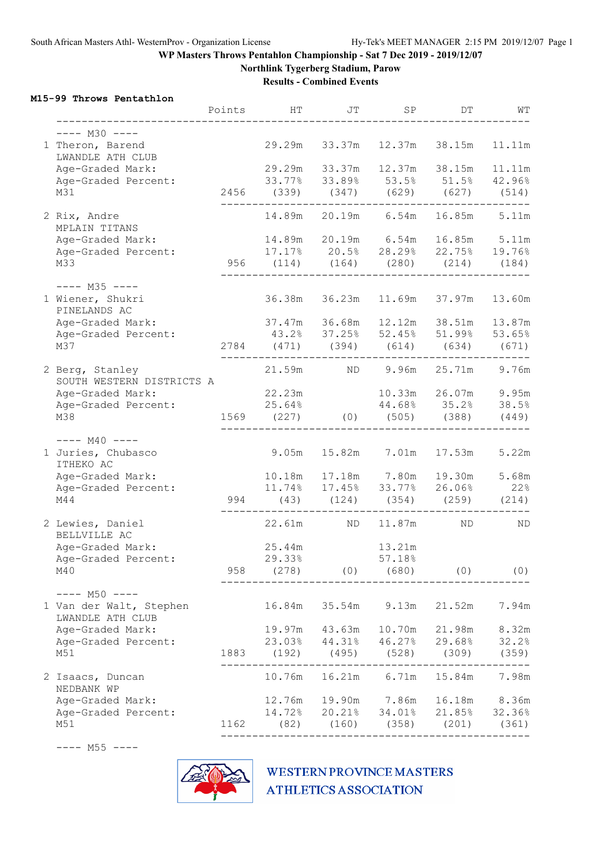**Northlink Tygerberg Stadium, Parow**

**Results - Combined Events**

### **M15-99 Throws Pentathlon**

|                                              | Points | HТ                                                   | JT                      | SP            | DΤ                                | WТ     |
|----------------------------------------------|--------|------------------------------------------------------|-------------------------|---------------|-----------------------------------|--------|
| $---$ M30 $---$                              |        |                                                      |                         |               |                                   |        |
| 1 Theron, Barend<br>LWANDLE ATH CLUB         |        | 29.29m                                               | 33.37m                  | 12.37m        | 38.15m                            | 11.11m |
| Age-Graded Mark:                             |        | 29.29m 33.37m                                        |                         |               | 12.37m 38.15m                     | 11.11m |
| Age-Graded Percent:                          |        | 33.77% 33.89% 53.5% 51.5% 42.96%                     |                         |               |                                   |        |
| M31                                          |        | 2456 (339) (347) (629) (627) (514)<br>______________ |                         |               |                                   |        |
| 2 Rix, Andre<br>MPLAIN TITANS                |        |                                                      |                         |               | 14.89m 20.19m 6.54m 16.85m        | 5.11m  |
| Age-Graded Mark:                             |        |                                                      |                         |               | 14.89m 20.19m 6.54m 16.85m 5.11m  |        |
| Age-Graded Percent:                          |        | 17.17% 20.5% 28.29% 22.75% 19.76%                    |                         |               |                                   |        |
| M33                                          |        | 956 (114) (164) (280) (214) (184)                    |                         |               |                                   |        |
| $---$ M35 $---$                              |        |                                                      |                         |               |                                   |        |
| 1 Wiener, Shukri<br>PINELANDS AC             |        | 36.38m 36.23m                                        |                         |               | 11.69m 37.97m                     | 13.60m |
| Age-Graded Mark:                             |        | 37.47m 36.68m                                        |                         |               | 12.12m 38.51m                     | 13.87m |
| Age-Graded Percent:                          |        |                                                      |                         |               | 43.2% 37.25% 52.45% 51.99% 53.65% |        |
| M37                                          | 2784   |                                                      | $(471)$ $(394)$ $(614)$ |               | (634)                             | (671)  |
| 2 Berg, Stanley<br>SOUTH WESTERN DISTRICTS A |        |                                                      |                         |               | 21.59m ND 9.96m 25.71m 9.76m      |        |
| Age-Graded Mark:                             |        | 22.23m                                               |                         |               | 10.33m  26.07m                    | 9.95m  |
| Age-Graded Percent:                          |        | 25.64%                                               |                         |               | 44.68% 35.2%                      | 38.5%  |
| M38                                          |        | 1569 (227)                                           |                         |               | $(0)$ $(505)$ $(388)$             | (449)  |
| $--- M40 ---$                                |        |                                                      |                         |               |                                   |        |
| 1 Juries, Chubasco<br>ITHEKO AC              |        | 9.05m                                                |                         | 15.82m 7.01m  | 17.53m                            | 5.22m  |
| Age-Graded Mark:                             |        | 10.18m  17.18m  7.80m                                |                         |               | 19.30m                            | 5.68m  |
| Age-Graded Percent:                          |        | 11.74% 17.45% 33.77% 26.06%                          |                         |               |                                   | 22%    |
| M44                                          |        | 994 (43)                                             | $(124)$ $(354)$         |               | $(259)$ $(214)$                   |        |
| 2 Lewies, Daniel<br>BELLVILLE AC             |        | 22.61m                                               | ND ND                   | 11.87m        | ND                                | ND     |
| Age-Graded Mark:                             |        | 25.44m                                               |                         | 13.21m        |                                   |        |
| Age-Graded Percent:                          |        | 29.33%                                               |                         | 57.18%        |                                   |        |
| M40                                          | 958    | (278)                                                | (0)                     | (680)         | (0)                               | (0)    |
| $--- M50 ---$                                |        |                                                      |                         |               |                                   |        |
| 1 Van der Walt, Stephen<br>LWANDLE ATH CLUB  |        | 16.84m                                               | 35.54m                  | 9.13m         | 21.52m                            | 7.94m  |
| Age-Graded Mark:                             |        | 19.97m                                               | 43.63m                  | 10.70m        | 21.98m                            | 8.32m  |
| Age-Graded Percent:                          |        | 23.03%                                               | 44.31%                  | 46.27%        | 29.68%                            | 32.2%  |
| M51                                          | 1883   | (192)                                                | (495)                   | (528)         | (309)                             | (359)  |
| 2 Isaacs, Duncan<br>NEDBANK WP               |        | 10.76m                                               | 16.21m                  | 6.71m         | 15.84m                            | 7.98m  |
| Age-Graded Mark:                             |        | 12.76m                                               |                         | 19.90m 7.86m  | 16.18m                            | 8.36m  |
| Age-Graded Percent:                          |        | 14.72%                                               |                         | 20.21% 34.01% | 21.85%                            | 32.36% |
| M51                                          | 1162   |                                                      | $(82)$ $(160)$          | (358)         | (201)                             | (361)  |

---- M55 ----

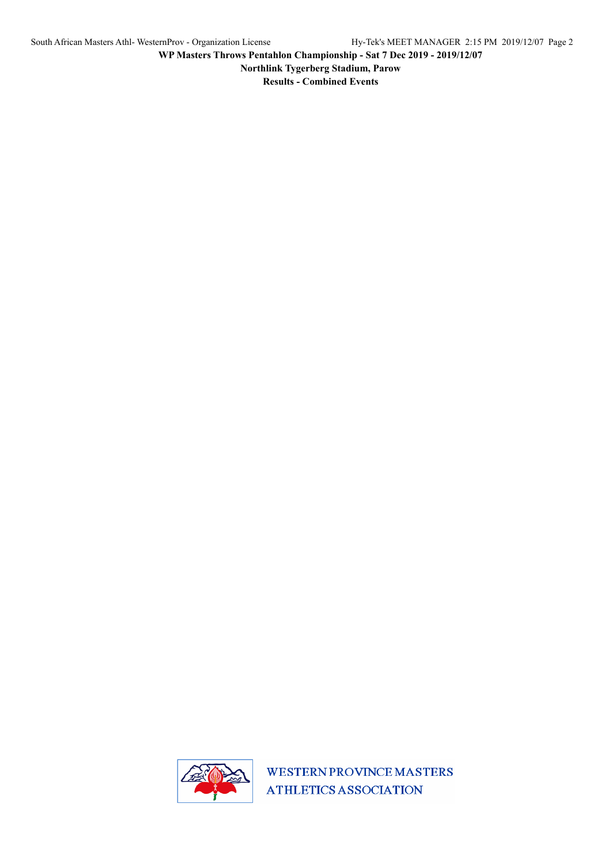**Northlink Tygerberg Stadium, Parow**

**Results - Combined Events**

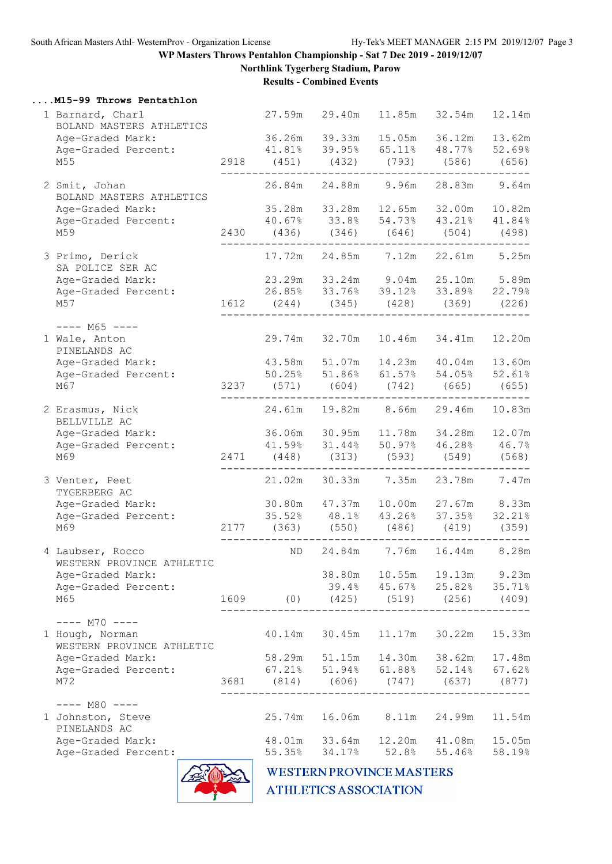**Northlink Tygerberg Stadium, Parow**

**Results - Combined Events**

| M15-99 Throws Pentathlon |  |  |  |
|--------------------------|--|--|--|
|--------------------------|--|--|--|

| 1 Barnard, Charl<br>BOLAND MASTERS ATHLETICS<br>Age-Graded Mark:<br>Age-Graded Percent:<br>M55 |      | 41.81% 39.95% 65.11% 48.77% 52.69%<br>2918 (451) (432) (793) (586) (656)                | 27.59m 29.40m<br>36.26m 39.33m | 15.05m | 11.85m 32.54m<br>36.12m           | 12.14m<br>13.62m |
|------------------------------------------------------------------------------------------------|------|-----------------------------------------------------------------------------------------|--------------------------------|--------|-----------------------------------|------------------|
| 2 Smit, Johan<br>BOLAND MASTERS ATHLETICS<br>Age-Graded Mark:                                  |      | 26.84m  24.88m  9.96m<br>35.28m 33.28m 12.65m 32.00m 10.82m                             |                                |        | 28.83m                            | 9.64m            |
| Age-Graded Percent:<br>M59                                                                     |      | 40.67% 33.8% 54.73% 43.21% 41.84%<br>2430 (436) (346) (646) (504) (498)                 |                                |        |                                   |                  |
| 3 Primo, Derick<br>SA POLICE SER AC                                                            |      |                                                                                         |                                |        |                                   | 5.25m            |
| Age-Graded Mark:                                                                               |      | 23.29m 33.24m 9.04m 25.10m 5.89m<br>26.85% 33.76% 39.12% 33.89% 22.79%                  |                                |        |                                   |                  |
| Age-Graded Percent:<br>M57                                                                     |      | 1612 (244) (345) (428) (369) (226)                                                      |                                |        |                                   |                  |
|                                                                                                |      |                                                                                         |                                |        |                                   |                  |
| $--- M65 ---$<br>1 Wale, Anton<br>PINELANDS AC                                                 |      | 29.74m 32.70m                                                                           |                                |        | 10.46m 34.41m                     | 12.20m           |
| Age-Graded Mark:                                                                               |      | 43.58m 51.07m                                                                           |                                |        | 14.23m  40.04m  13.60m            |                  |
| Age-Graded Percent:<br>M67                                                                     |      | $50.25\%$ $51.86\%$ $61.57\%$ $54.05\%$ $52.61\%$<br>3237 (571) (604) (742) (665) (655) |                                |        |                                   |                  |
|                                                                                                |      |                                                                                         |                                |        |                                   |                  |
| 2 Erasmus, Nick<br>BELLVILLE AC                                                                |      |                                                                                         |                                |        | 24.61m 19.82m 8.66m 29.46m        | 10.83m           |
| Age-Graded Mark:                                                                               |      |                                                                                         | 36.06m 30.95m                  | 11.78m | 34.28m                            | 12.07m           |
| Age-Graded Percent:                                                                            |      |                                                                                         |                                |        | 41.59% 31.44% 50.97% 46.28% 46.7% |                  |
| M69                                                                                            |      | 2471 (448) (313) (593) (549) (568)                                                      |                                |        |                                   |                  |
| 3 Venter, Peet<br>TYGERBERG AC                                                                 |      | 21.02m 30.33m 7.35m 23.78m                                                              |                                |        |                                   | 7.47m            |
| Age-Graded Mark:                                                                               |      | 30.80m  47.37m  10.00m  27.67m  8.33m                                                   |                                |        |                                   |                  |
| Age-Graded Percent:<br>M69                                                                     |      | $35.52\%$ $48.1\%$ $43.26\%$ $37.35\%$<br>2177 (363) (550) (486) (419)                  |                                |        |                                   | 32.21%<br>(359)  |
|                                                                                                |      |                                                                                         |                                |        |                                   |                  |
| 4 Laubser, Rocco<br>WESTERN PROVINCE ATHLETIC                                                  |      | ND.                                                                                     | 24.84m                         |        | 7.76m 16.44m                      | 8.28m            |
| Age-Graded Mark:                                                                               |      |                                                                                         | 38.80m                         | 10.55m | 19.13m                            | 9.23m            |
| Age-Graded Percent:                                                                            |      |                                                                                         | 39.4%                          | 45.67% | 25.82%                            | 35.71%           |
| M65                                                                                            | 1609 | (0)                                                                                     | (425)                          | (519)  | (256)                             | (409)            |
| $---$ M70 $---$                                                                                |      |                                                                                         |                                |        |                                   |                  |
| 1 Hough, Norman<br>WESTERN PROVINCE ATHLETIC                                                   |      | 40.14m                                                                                  | 30.45m                         | 11.17m | 30.22m                            | 15.33m           |
| Age-Graded Mark:                                                                               |      | 58.29m                                                                                  | 51.15m                         | 14.30m | 38.62m                            | 17.48m           |
| Age-Graded Percent:                                                                            |      | 67.21%                                                                                  | 51.94%                         | 61.88% | 52.14%                            | 67.62%           |
| M72                                                                                            | 3681 | (814)                                                                                   | (606)                          | (747)  | (637)                             | (877)            |
| $---$ M80 $---$                                                                                |      |                                                                                         |                                |        |                                   |                  |
| 1 Johnston, Steve<br>PINELANDS AC                                                              |      | 25.74m                                                                                  | 16.06m                         | 8.11m  | 24.99m                            | 11.54m           |
| Age-Graded Mark:                                                                               |      | 48.01m                                                                                  | 33.64m                         | 12.20m | 41.08m                            | 15.05m           |
| Age-Graded Percent:                                                                            |      | 55.35%                                                                                  | 34.17%                         | 52.8%  | 55.46%                            | 58.19%           |
|                                                                                                |      |                                                                                         |                                |        |                                   |                  |

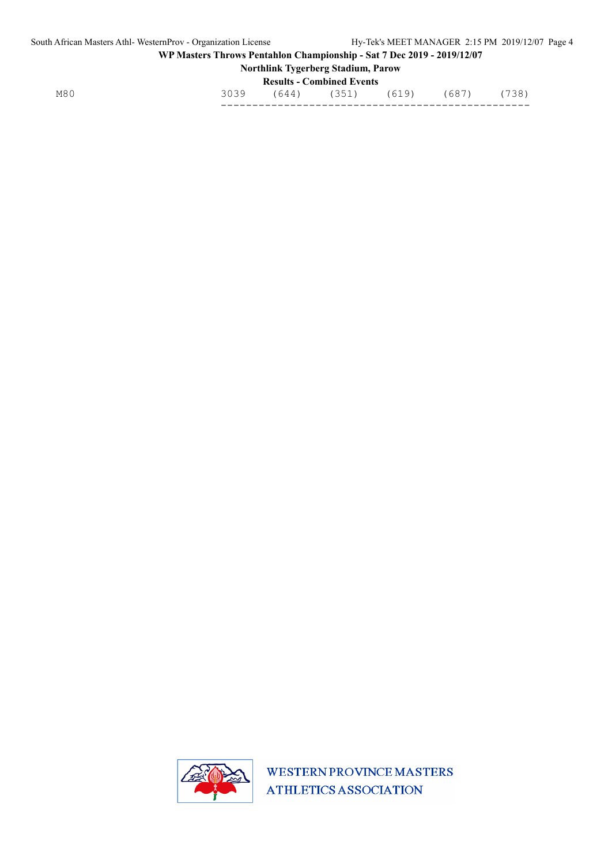## **Northlink Tygerberg Stadium, Parow Results - Combined Events**

| M8 <sub>l</sub><br>___ | - | ___ | --<br>__ |  |
|------------------------|---|-----|----------|--|

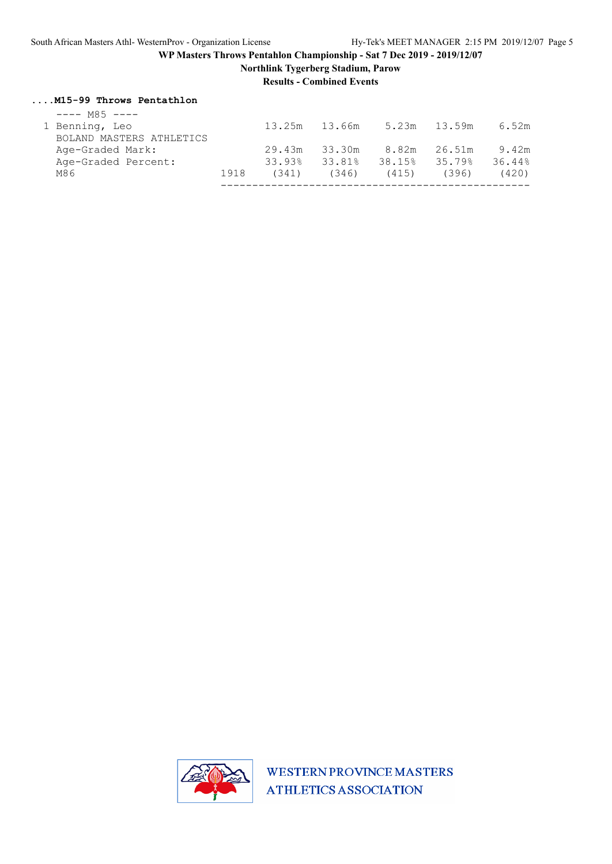**Northlink Tygerberg Stadium, Parow**

**Results - Combined Events**

#### **....M15-99 Throws Pentathlon**

| $---$ M85 $---$          |      |        |               |        |              |        |
|--------------------------|------|--------|---------------|--------|--------------|--------|
| 1 Benning, Leo           |      |        | 13.25m 13.66m |        | 5.23m 13.59m | 6.52m  |
| BOLAND MASTERS ATHLETICS |      |        |               |        |              |        |
| Age-Graded Mark:         |      | 29.43m | 33.30m        | 8.82m  | 26.51m       | 9.42m  |
| Age-Graded Percent:      |      | 33.93% | 33.81%        | 38.15% | 35.79%       | 36.44% |
| M86                      | 1918 | (341)  | (346)         | (415)  | (396)        | (420)  |
|                          |      |        |               |        |              |        |

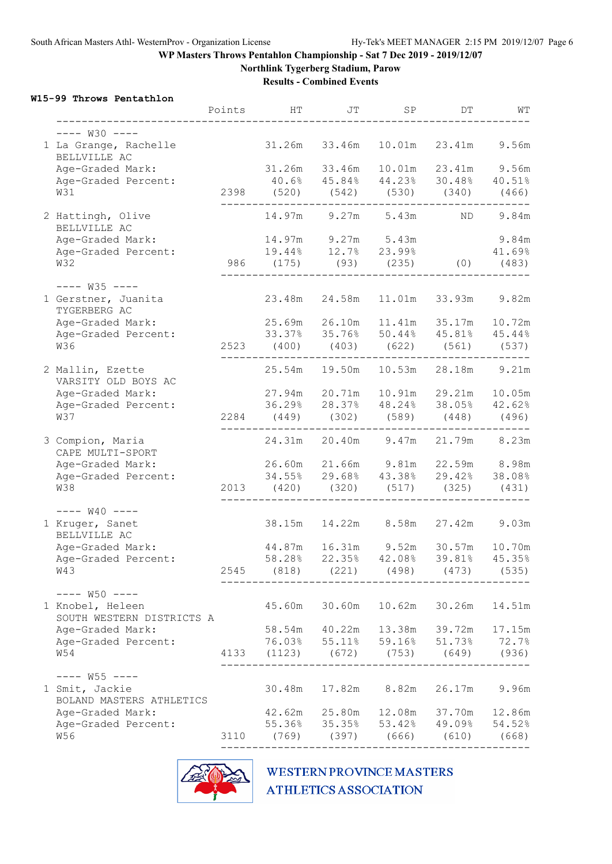**Northlink Tygerberg Stadium, Parow**

**Results - Combined Events**

### **W15-99 Throws Pentathlon**

|                                               | Points | HT                 | JT                    | SP     | DΤ                                                           | WT     |
|-----------------------------------------------|--------|--------------------|-----------------------|--------|--------------------------------------------------------------|--------|
| $--- W30 ---$                                 |        |                    |                       |        |                                                              |        |
| 1 La Grange, Rachelle<br>BELLVILLE AC         |        | 31.26m 33.46m      |                       | 10.01m | 23.41m                                                       | 9.56m  |
| Age-Graded Mark:                              |        | 31.26m 33.46m      |                       |        | 10.01m  23.41m  9.56m                                        |        |
| Age-Graded Percent:                           |        |                    |                       |        | 40.6% 45.84% 44.23% 30.48% 40.51%                            |        |
| W31                                           |        |                    |                       |        | 2398 (520) (542) (530) (340) (466)                           |        |
| 2 Hattingh, Olive<br>BELLVILLE AC             |        |                    | 14.97m 9.27m 5.43m    |        | ND 0                                                         | 9.84m  |
| Age-Graded Mark:                              |        | 14.97m 9.27m 5.43m |                       |        |                                                              | 9.84m  |
| Age-Graded Percent:                           |        |                    |                       |        | 19.44% 12.7% 23.99% 41.69%                                   |        |
| W32                                           |        |                    |                       |        | 986 (175) (93) (235) (0) (483)                               |        |
| $-- W35$ $---$                                |        |                    |                       |        |                                                              |        |
| 1 Gerstner, Juanita<br>TYGERBERG AC           |        |                    |                       |        | 11.01m 33.93m 9.82m                                          |        |
| Age-Graded Mark:                              |        |                    |                       |        | 11.41m 35.17m 10.72m                                         |        |
| Age-Graded Percent:                           |        |                    |                       |        | 33.37% 35.76% 50.44% 45.81% 45.44%                           |        |
| W36                                           |        |                    |                       |        | 2523 (400) (403) (622) (561) (537)                           |        |
| 2 Mallin, Ezette<br>VARSITY OLD BOYS AC       |        |                    |                       |        | 25.54m 19.50m 10.53m 28.18m 9.21m                            |        |
| Age-Graded Mark:                              |        |                    |                       |        | 27.94m  20.71m  10.91m  29.21m  10.05m                       |        |
| Age-Graded Percent:                           |        |                    |                       |        | 36.29% 28.37% 48.24% 38.05% 42.62%                           |        |
| W37                                           |        |                    |                       |        | 2284 (449) (302) (589) (448) (496)                           |        |
| 3 Compion, Maria<br>CAPE MULTI-SPORT          |        |                    |                       |        | 24.31m 20.40m 9.47m 21.79m 8.23m                             |        |
| Age-Graded Mark:                              |        |                    |                       |        | 26.60m  21.66m  9.81m  22.59m  8.98m                         |        |
| Age-Graded Percent:                           |        |                    |                       |        | 34.55% 29.68% 43.38% 29.42% 38.08%                           |        |
| W38                                           |        | 2013 (420) (320)   |                       | (517)  | $(325)$ $(431)$                                              |        |
| $-- W40$ $---$                                |        |                    |                       |        |                                                              |        |
| 1 Kruger, Sanet<br>BELLVILLE AC               |        |                    |                       |        | 38.15m  14.22m  8.58m  27.42m  9.03m                         |        |
| Age-Graded Mark:                              |        |                    |                       |        | 44.87m 16.31m 9.52m 30.57m 10.70m                            |        |
| Age-Graded Percent:                           |        |                    |                       |        | 58.28% 22.35% 42.08% 39.81% 45.35%                           |        |
| <b>W43</b>                                    | 2545   | (818)              | (221)                 | (498)  | (473)                                                        | (535)  |
| $--- W50 ---$                                 |        |                    |                       |        |                                                              |        |
| 1 Knobel, Heleen<br>SOUTH WESTERN DISTRICTS A |        | 45.60m             | 30.60m                | 10.62m | 30.26m                                                       | 14.51m |
| Age-Graded Mark:                              |        |                    | 58.54m 40.22m         | 13.38m | 39.72m                                                       | 17.15m |
| Age-Graded Percent:                           |        |                    |                       |        |                                                              | 72.7%  |
| W54                                           |        |                    |                       |        | 76.03% 55.11% 59.16% 51.73%<br>4133 (1123) (672) (753) (649) | (936)  |
| $-- W55$ $---$                                |        |                    |                       |        |                                                              |        |
| 1 Smit, Jackie<br>BOLAND MASTERS ATHLETICS    |        |                    | 30.48m  17.82m  8.82m |        | 26.17m                                                       | 9.96m  |
| Age-Graded Mark:                              |        |                    | 42.62m 25.80m         |        | 12.08m 37.70m                                                | 12.86m |
| Age-Graded Percent:                           |        |                    | 55.36% 35.35%         |        | 53.42% 49.09% 54.52%                                         |        |
| W56                                           |        |                    |                       |        | 3110 (769) (397) (666) (610) (668)                           |        |

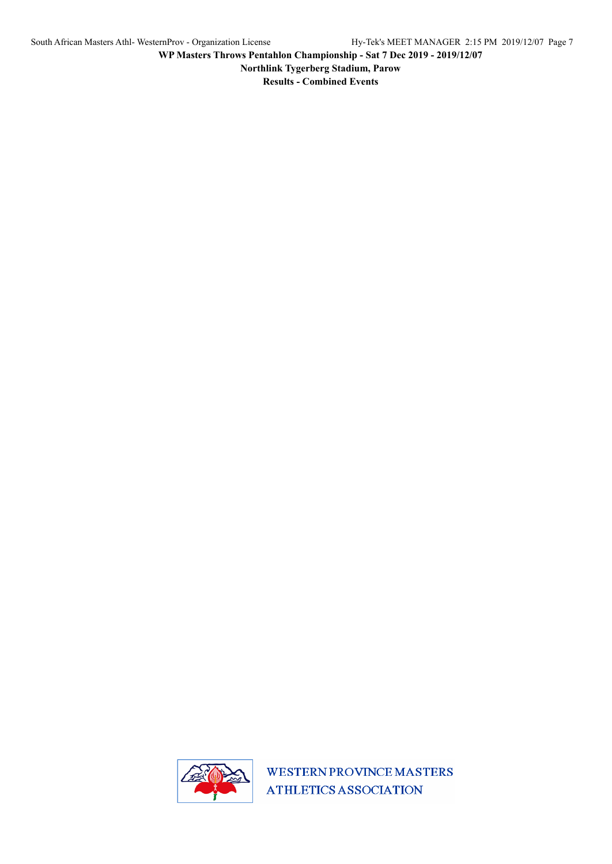**Northlink Tygerberg Stadium, Parow**

**Results - Combined Events**